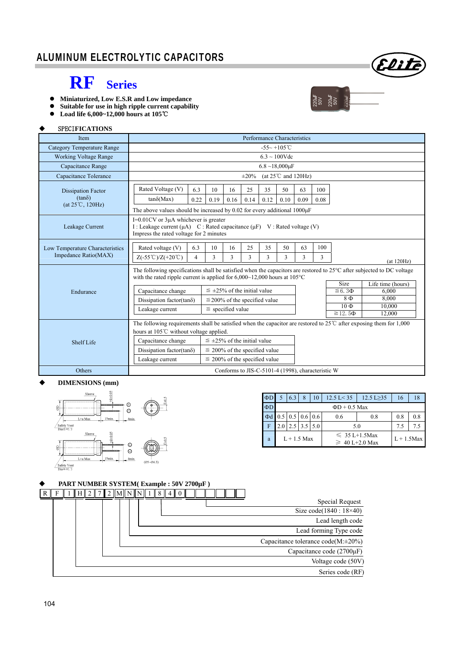

 $\frac{220 \text{ mF}}{50 \text{ V}}$ <br> $\frac{220 \text{ mF}}{50 \text{ V}}$ 

## **RF Series**

- **Miniaturized, Low E.S.R and Low impedance**
- **Suitable for use in high ripple current capability**
- **Load life 6,000~12,000 hours at 105**℃

#### SPECI**FICATIONS**

| <b>Item</b>                                             | Performance Characteristics                                                                                                                                                                                                                                                 |      |                                      |                                    |      |      |      |                              |                  |       |  |
|---------------------------------------------------------|-----------------------------------------------------------------------------------------------------------------------------------------------------------------------------------------------------------------------------------------------------------------------------|------|--------------------------------------|------------------------------------|------|------|------|------------------------------|------------------|-------|--|
| <b>Category Temperature Range</b>                       | $-55 - +105$ °C                                                                                                                                                                                                                                                             |      |                                      |                                    |      |      |      |                              |                  |       |  |
| <b>Working Voltage Range</b>                            | $6.3 \sim 100$ Vdc                                                                                                                                                                                                                                                          |      |                                      |                                    |      |      |      |                              |                  |       |  |
| Capacitance Range                                       | $6.8 \sim 18,000 \mu F$                                                                                                                                                                                                                                                     |      |                                      |                                    |      |      |      |                              |                  |       |  |
| Capacitance Tolerance                                   | (at $25^{\circ}$ C and $120$ Hz)<br>$\pm 20\%$                                                                                                                                                                                                                              |      |                                      |                                    |      |      |      |                              |                  |       |  |
| <b>Dissipation Factor</b>                               | Rated Voltage (V)                                                                                                                                                                                                                                                           | 6.3  | 10                                   | 16                                 | 25   | 35   | 50   | 63                           | 100              |       |  |
| $(tan\delta)$                                           | $tan\delta(Max)$                                                                                                                                                                                                                                                            | 0.22 | 0.19                                 | 0.16                               | 0.14 | 0.12 | 0.10 | 0.09                         | 0.08             |       |  |
| $(at 25^{\circ}C, 120Hz)$                               | The above values should be increased by 0.02 for every additional 1000 $\mu$ F                                                                                                                                                                                              |      |                                      |                                    |      |      |      |                              |                  |       |  |
| Leakage Current                                         | $I=0.01$ CV or $3\mu A$ whichever is greater<br>I : Leakage current (μA) C : Rated capacitance (μF) V : Rated voltage (V)<br>Impress the rated voltage for 2 minutes                                                                                                        |      |                                      |                                    |      |      |      |                              |                  |       |  |
| Low Temperature Characteristics<br>Impedance Ratio(MAX) | 100<br>Rated voltage (V)<br>6.3<br>25<br>35<br>50<br>63<br>10<br>16<br>$Z(-55^{\circ}\text{C})/Z(+20^{\circ}\text{C})$<br>3<br>$\overline{4}$<br>3<br>3<br>3<br>3<br>3<br>3                                                                                                 |      |                                      |                                    |      |      |      |                              |                  |       |  |
|                                                         | (at 120 Hz)<br>The following specifications shall be satisfied when the capacitors are restored to $25^{\circ}$ C after subjected to DC voltage<br>with the rated ripple current is applied for $6,000~12,000$ hours at $105^{\circ}$ C<br><b>Size</b><br>Life time (hours) |      |                                      |                                    |      |      |      |                              |                  |       |  |
| Endurance                                               | Capacitance change                                                                                                                                                                                                                                                          |      | $\leq \pm 25\%$ of the initial value |                                    |      |      |      |                              | $\leq 6.3 \Phi$  | 6.000 |  |
|                                                         | Dissipation factor( $tan\delta$ )                                                                                                                                                                                                                                           |      | $\leq$ 200% of the specified value   |                                    |      |      |      |                              | $8 \Phi$         | 8.000 |  |
|                                                         | $\le$ specified value<br>Leakage current                                                                                                                                                                                                                                    |      |                                      |                                    |      |      |      | $10 \Phi$<br>$\geq 12.5\Phi$ | 10.000<br>12,000 |       |  |
|                                                         |                                                                                                                                                                                                                                                                             |      |                                      |                                    |      |      |      |                              |                  |       |  |
|                                                         | The following requirements shall be satisfied when the capacitor are restored to $25^{\circ}$ after exposing them for 1,000<br>hours at 105°C without voltage applied.                                                                                                      |      |                                      |                                    |      |      |      |                              |                  |       |  |
| Shelf Life                                              | Capacitance change                                                                                                                                                                                                                                                          |      | $\leq \pm 25\%$ of the initial value |                                    |      |      |      |                              |                  |       |  |
|                                                         | Dissipation factor(tan $\delta$ )                                                                                                                                                                                                                                           |      |                                      | $\leq$ 200% of the specified value |      |      |      |                              |                  |       |  |
|                                                         | Leakage current                                                                                                                                                                                                                                                             |      |                                      | $\leq$ 200% of the specified value |      |      |      |                              |                  |       |  |
| Others                                                  | Conforms to JIS-C-5101-4 (1998), characteristic W                                                                                                                                                                                                                           |      |                                      |                                    |      |      |      |                              |                  |       |  |

#### **DIMENSIONS (mm)**



| $\Phi$ D |                    | 6.3                              | 8   | 10  | $12.5$ L $<$ 35                           | $12.5$ L $\geq$ 35 | 16            | 18 |  |
|----------|--------------------|----------------------------------|-----|-----|-------------------------------------------|--------------------|---------------|----|--|
| $\Phi$ D | $\Phi$ D + 0.5 Max |                                  |     |     |                                           |                    |               |    |  |
| Фd       |                    | $0.5 \mid 0.5 \mid 0.6 \mid 0.6$ |     |     | 0.6                                       | 0.8                | 0.8           |    |  |
| F        |                    |                                  | 3.5 | 5.0 | 5.0                                       | 7.5                |               |    |  |
| a        | $L+1.5$ Max        |                                  |     |     | $\leq 35$ L+1.5Max<br>$40 L+2.0 Max$<br>≥ |                    | $L + 1.5$ Max |    |  |

#### **PART NUMBER SYSTEM( Example : 50V 2700µF )**

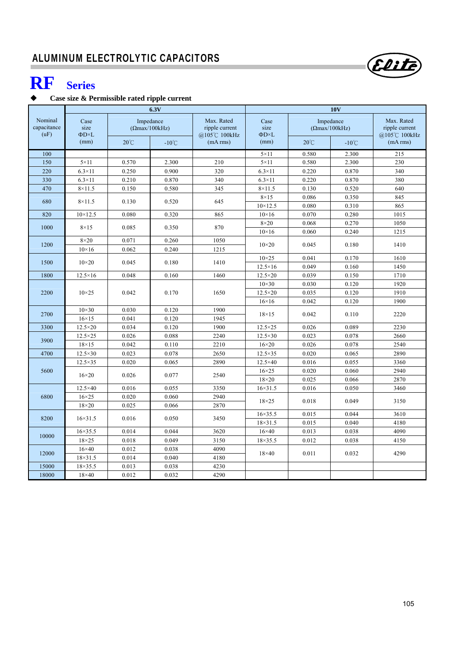# **RF Series**

### **Case size & Permissible rated ripple current**

|                                |                                                                                                                         |       | 6.3V  |                                                          | <b>10V</b>                                  |                                                       |                                                          |      |  |  |
|--------------------------------|-------------------------------------------------------------------------------------------------------------------------|-------|-------|----------------------------------------------------------|---------------------------------------------|-------------------------------------------------------|----------------------------------------------------------|------|--|--|
| Nominal<br>capacitance<br>(uF) | Impedance<br>Case<br>size<br>$( \Omega$ max/100kHz)<br>$\Phi$ D $\times$ L<br>(mm)<br>$20^{\circ}$ C<br>$-10^{\circ}$ C |       |       | Max. Rated<br>ripple current<br>@105℃ 100kHz<br>(mA rms) | Case<br>size<br>$\Phi$ D $\times$ L<br>(mm) | Impedance<br>$( \Omega$ max/100kHz)<br>$20^{\circ}$ C | Max. Rated<br>ripple current<br>@105℃ 100kHz<br>(mA rms) |      |  |  |
| 100                            |                                                                                                                         |       |       |                                                          | $5 \times 11$                               | 0.580                                                 | 2.300                                                    | 215  |  |  |
| 150                            | $5 \times 11$                                                                                                           | 0.570 | 2.300 | 210                                                      | $5 \times 11$                               | 0.580                                                 | 2.300                                                    | 230  |  |  |
| 220                            | $6.3\times11$                                                                                                           | 0.250 | 0.900 | 320                                                      | $6.3\times11$                               | 0.220                                                 | 0.870                                                    | 340  |  |  |
| 330                            | $6.3\times11$                                                                                                           | 0.210 | 0.870 | 340                                                      | $6.3\times11$                               | 0.220                                                 | 0.870                                                    | 380  |  |  |
| 470                            | $8\times11.5$                                                                                                           | 0.150 | 0.580 | 345                                                      | $8\times11.5$                               | 0.130                                                 | 0.520                                                    | 640  |  |  |
|                                |                                                                                                                         |       |       |                                                          | $8\times15$                                 | 0.086                                                 | 0.350                                                    | 845  |  |  |
| 680                            | $8\times11.5$                                                                                                           | 0.130 | 0.520 | 645                                                      | $10 \times 12.5$                            | 0.080                                                 | 0.310                                                    | 865  |  |  |
| 820                            | $10 \times 12.5$                                                                                                        | 0.080 | 0.320 | 865                                                      | $10\times 16$                               | 0.070                                                 | 0.280                                                    | 1015 |  |  |
|                                |                                                                                                                         |       |       |                                                          | $8\times20$                                 | 0.068                                                 | 0.270                                                    | 1050 |  |  |
| 1000                           | $8\times15$                                                                                                             | 0.085 | 0.350 | 870                                                      | $10\times16$                                | 0.060                                                 | 0.240                                                    | 1215 |  |  |
| 1200                           | $8\times20$                                                                                                             | 0.071 | 0.260 | 1050                                                     | $10\times 20$                               | 0.045                                                 | 0.180                                                    | 1410 |  |  |
|                                | $10\times16$                                                                                                            | 0.062 | 0.240 | 1215                                                     |                                             |                                                       |                                                          |      |  |  |
| 1500                           | $10\times20$                                                                                                            | 0.045 | 0.180 | 1410                                                     | $10\times25$                                | 0.041                                                 | 0.170                                                    | 1610 |  |  |
|                                |                                                                                                                         |       |       |                                                          | $12.5 \times 16$                            | 0.049                                                 | 0.160                                                    | 1450 |  |  |
| 1800                           | $12.5\times16$                                                                                                          | 0.048 | 0.160 | 1460                                                     | $12.5 \times 20$                            | 0.039                                                 | 0.150                                                    | 1710 |  |  |
|                                | $10\times25$                                                                                                            | 0.042 | 0.170 | 1650                                                     | $10\times30$                                | 0.030                                                 | 0.120                                                    | 1920 |  |  |
| 2200                           |                                                                                                                         |       |       |                                                          | $12.5 \times 20$                            | 0.035                                                 | 0.120                                                    | 1910 |  |  |
|                                |                                                                                                                         |       |       |                                                          | $16\times16$                                | 0.042                                                 | 0.120                                                    | 1900 |  |  |
| 2700                           | $10\times30$                                                                                                            | 0.030 | 0.120 | 1900                                                     | $18\times15$                                | 0.042                                                 | 0.110                                                    | 2220 |  |  |
|                                | $16\times15$                                                                                                            | 0.041 | 0.120 | 1945                                                     |                                             |                                                       |                                                          |      |  |  |
| 3300                           | $12.5 \times 20$                                                                                                        | 0.034 | 0.120 | 1900                                                     | $12.5 \times 25$                            | 0.026                                                 | 0.089                                                    | 2230 |  |  |
| 3900                           | $12.5 \times 25$                                                                                                        | 0.026 | 0.088 | 2240                                                     | $12.5 \times 30$                            | 0.023                                                 | 0.078                                                    | 2660 |  |  |
|                                | $18\times15$                                                                                                            | 0.042 | 0.110 | 2210                                                     | $16\times20$                                | 0.026                                                 | 0.078                                                    | 2540 |  |  |
| 4700                           | $12.5 \times 30$                                                                                                        | 0.023 | 0.078 | 2650                                                     | $12.5 \times 35$                            | 0.020                                                 | 0.065                                                    | 2890 |  |  |
|                                | $12.5 \times 35$                                                                                                        | 0.020 | 0.065 | 2890                                                     | $12.5\times40$                              | 0.016                                                 | 0.055                                                    | 3360 |  |  |
| 5600                           | $16\times20$                                                                                                            | 0.026 | 0.077 | 2540                                                     | $16\times25$                                | 0.020                                                 | 0.060                                                    | 2940 |  |  |
|                                |                                                                                                                         |       |       |                                                          | $18\times20$                                | 0.025                                                 | 0.066                                                    | 2870 |  |  |
|                                | $12.5 \times 40$                                                                                                        | 0.016 | 0.055 | 3350                                                     | $16 \times 31.5$                            | 0.016                                                 | 0.050                                                    | 3460 |  |  |
| 6800                           | $16\times25$                                                                                                            | 0.020 | 0.060 | 2940                                                     | $18\times25$                                | 0.018                                                 | 0.049                                                    | 3150 |  |  |
|                                | $18\times20$                                                                                                            | 0.025 | 0.066 | 2870                                                     |                                             |                                                       |                                                          |      |  |  |
| 8200                           | $16 \times 31.5$                                                                                                        | 0.016 | 0.050 | 3450                                                     | $16 \times 35.5$                            | 0.015                                                 | 0.044                                                    | 3610 |  |  |
|                                |                                                                                                                         |       |       |                                                          | $18 \times 31.5$                            | 0.015                                                 | 0.040                                                    | 4180 |  |  |
| 10000                          | $16 \times 35.5$                                                                                                        | 0.014 | 0.044 | 3620                                                     | $16\times40$                                | 0.013                                                 | 0.038                                                    | 4090 |  |  |
|                                | $18\times25$                                                                                                            | 0.018 | 0.049 | 3150                                                     | $18 \times 35.5$                            | 0.012                                                 | 0.038                                                    | 4150 |  |  |
| 12000                          | $16\times40$                                                                                                            | 0.012 | 0.038 | 4090                                                     | $18\times40$                                | 0.011                                                 | 0.032                                                    | 4290 |  |  |
|                                | $18 \times 31.5$                                                                                                        | 0.014 | 0.040 | 4180                                                     |                                             |                                                       |                                                          |      |  |  |
| 15000                          | $18 \times 35.5$                                                                                                        | 0.013 | 0.038 | 4230                                                     |                                             |                                                       |                                                          |      |  |  |
| 18000                          | $18\times40$                                                                                                            | 0.012 | 0.032 | 4290                                                     |                                             |                                                       |                                                          |      |  |  |

Elite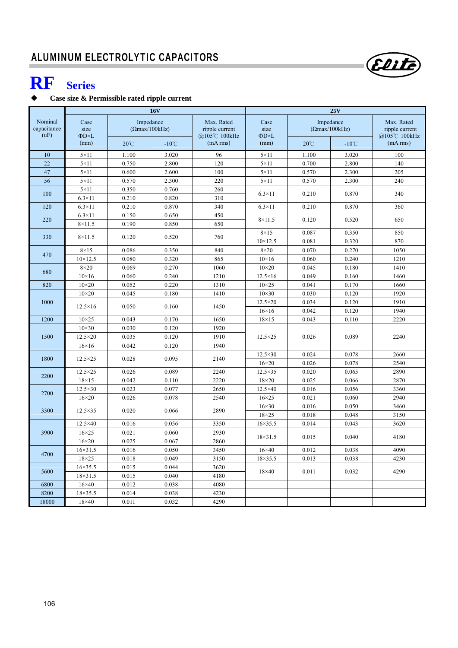# **RF Series**

### **Case size & Permissible rated ripple current**

|                                |                                     |                                    | <b>16V</b>      |                                              | 25V                                 |                                    |                                              |              |  |  |
|--------------------------------|-------------------------------------|------------------------------------|-----------------|----------------------------------------------|-------------------------------------|------------------------------------|----------------------------------------------|--------------|--|--|
| Nominal<br>capacitance<br>(uF) | Case<br>size<br>$\Phi$ D $\times$ L | Impedance<br>$(\Omega$ max/100kHz) |                 | Max. Rated<br>ripple current<br>@105℃ 100kHz | Case<br>size<br>$\Phi$ D $\times$ L | Impedance<br>$(\Omega$ max/100kHz) | Max. Rated<br>ripple current<br>@105℃ 100kHz |              |  |  |
|                                | (mm)                                | $20^{\circ}$ C                     | $-10^{\circ}$ C | (mA rms)                                     | (mm)                                | $20^{\circ}$ C                     | $-10^{\circ}$ C                              | (mA rms)     |  |  |
| 10                             | $5 \times 11$                       | 1.100                              | 3.020           | 96                                           | $5 \times 11$                       | 1.100                              | 3.020                                        | 100          |  |  |
| 22                             | $5 \times 11$                       | 0.750                              | 2.800           | 120                                          | $5 \times 11$                       | 0.700                              | 2.800                                        | 140          |  |  |
| 47                             | $5 \times 11$                       | 0.600                              | 2.600           | 100                                          | $5 \times 11$                       | 0.570                              | 2.300                                        | 205          |  |  |
| 56                             | $5 \times 11$                       | 0.570                              | 2.300           | 220                                          | $5 \times 11$                       | 0.570                              | 2.300                                        | 240          |  |  |
| 100                            | $5 \times 11$                       | 0.350                              | 0.760           | 260                                          | $6.3\times11$                       | 0.210                              | 0.870                                        | 340          |  |  |
|                                | $6.3\times11$                       | 0.210                              | 0.820           | 310                                          |                                     |                                    |                                              |              |  |  |
| 120                            | $6.3\times11$                       | 0.210                              | 0.870           | 340                                          | $6.3\times11$                       | 0.210                              | 0.870                                        | 360          |  |  |
| 220                            | $6.3\times11$                       | 0.150                              | 0.650           | 450                                          | $8\times11.5$                       | 0.120                              | 0.520                                        | 650          |  |  |
|                                | $8\times11.5$                       | 0.190                              | 0.850           | 650                                          |                                     |                                    |                                              |              |  |  |
| 330                            | $8\times11.5$                       | 0.120                              | 0.520           | 760                                          | $8\times15$                         | 0.087                              | 0.350                                        | 850          |  |  |
|                                |                                     |                                    |                 |                                              | $10 \times 12.5$                    | 0.081                              | 0.320                                        | 870          |  |  |
| 470                            | $8\times15$                         | 0.086                              | 0.350           | 840                                          | $8\times20$                         | 0.070                              | 0.270                                        | 1050         |  |  |
|                                | $10 \times 12.5$                    | 0.080                              | 0.320           | 865                                          | $10\times16$                        | 0.060                              | 0.240                                        | 1210         |  |  |
| 680                            | $8\times20$                         | 0.069                              | 0.270           | 1060                                         | $10\times20$                        | 0.045                              | 0.180                                        | 1410         |  |  |
| 820                            | $10\times16$                        | 0.060                              | 0.240<br>0.220  | 1210<br>1310                                 | $12.5 \times 16$<br>$10\times25$    | 0.049                              | 0.160                                        | 1460         |  |  |
|                                | $10\times20$<br>$10\times20$        | 0.052<br>0.045                     | 0.180           | 1410                                         | $10\times30$                        | 0.041<br>0.030                     | 0.170<br>0.120                               | 1660<br>1920 |  |  |
| 1000                           | $12.5 \times 16$                    |                                    | 0.160           |                                              |                                     | 0.034                              |                                              | 1910         |  |  |
|                                |                                     | 0.050                              |                 | 1450                                         | $12.5 \times 20$<br>$16\times16$    | 0.042                              | 0.120<br>0.120                               | 1940         |  |  |
| 1200                           | $10\times25$                        | 0.043                              | 0.170           | 1650                                         | $18\times15$                        | 0.043                              | 0.110                                        | 2220         |  |  |
|                                | $10\times30$                        | 0.030                              | 0.120           | 1920                                         |                                     |                                    |                                              |              |  |  |
| 1500                           | $12.5 \times 20$                    | 0.035                              | 0.120           | 1910                                         | $12.5 \times 25$                    | 0.026                              | 0.089                                        | 2240         |  |  |
|                                | $16\times16$                        | 0.042                              | 0.120           | 1940                                         |                                     |                                    |                                              |              |  |  |
|                                |                                     |                                    |                 |                                              | $12.5 \times 30$                    | 0.024                              | 0.078                                        | 2660         |  |  |
| 1800                           | $12.5 \times 25$                    | 0.028                              | 0.095           | 2140                                         | $16\times20$                        | 0.026                              | 0.078                                        | 2540         |  |  |
|                                | $12.5 \times 25$                    | 0.026                              | 0.089           | 2240                                         | $12.5 \times 35$                    | 0.020                              | 0.065                                        | 2890         |  |  |
| 2200                           | $18\times15$                        | 0.042                              | 0.110           | 2220                                         | $18\times20$                        | 0.025                              | 0.066                                        | 2870         |  |  |
|                                | $12.5 \times 30$                    | 0.023                              | 0.077           | 2650                                         | $12.5 \times 40$                    | 0.016                              | 0.056                                        | 3360         |  |  |
| 2700                           | $16\times20$                        | 0.026                              | 0.078           | 2540                                         | $16\times25$                        | 0.021                              | 0.060                                        | 2940         |  |  |
|                                |                                     |                                    |                 |                                              | $16\times30$                        | 0.016                              | 0.050                                        | 3460         |  |  |
| 3300                           | $12.5 \times 35$                    | 0.020                              | 0.066           | 2890                                         | $18\times25$                        | 0.018                              | 0.048                                        | 3150         |  |  |
|                                | $12.5\times40$                      | 0.016                              | 0.056           | 3350                                         | $16 \times 35.5$                    | 0.014                              | 0.043                                        | 3620         |  |  |
| 3900                           | $16\times25$                        | 0.021                              | 0.060           | 2930                                         |                                     |                                    |                                              |              |  |  |
|                                | $16\times20$                        | 0.025                              | 0.067           | 2860                                         | $18 \times 31.5$                    | 0.015                              | 0.040                                        | 4180         |  |  |
| 4700                           | $16 \times 31.5$                    | 0.016                              | 0.050           | 3450                                         | $16\times40$                        | 0.012                              | 0.038                                        | 4090         |  |  |
|                                | $18\times25$                        | 0.018                              | 0.049           | 3150                                         | $18 \times 35.5$                    | 0.013                              | 0.038                                        | 4230         |  |  |
| 5600                           | $16 \times 35.5$                    | 0.015                              | 0.044           | 3620                                         | $18\times40$                        | 0.011                              | 0.032                                        | 4290         |  |  |
|                                | $18 \times 31.5$                    | 0.015                              | 0.040           | 4180                                         |                                     |                                    |                                              |              |  |  |
| 6800                           | $16\times40$                        | 0.012                              | 0.038           | 4080                                         |                                     |                                    |                                              |              |  |  |
| 8200                           | 18×35.5                             | 0.014                              | 0.038           | 4230                                         |                                     |                                    |                                              |              |  |  |
| 18000                          | $18\times 40$                       | 0.011                              | 0.032           | 4290                                         |                                     |                                    |                                              |              |  |  |

Elite